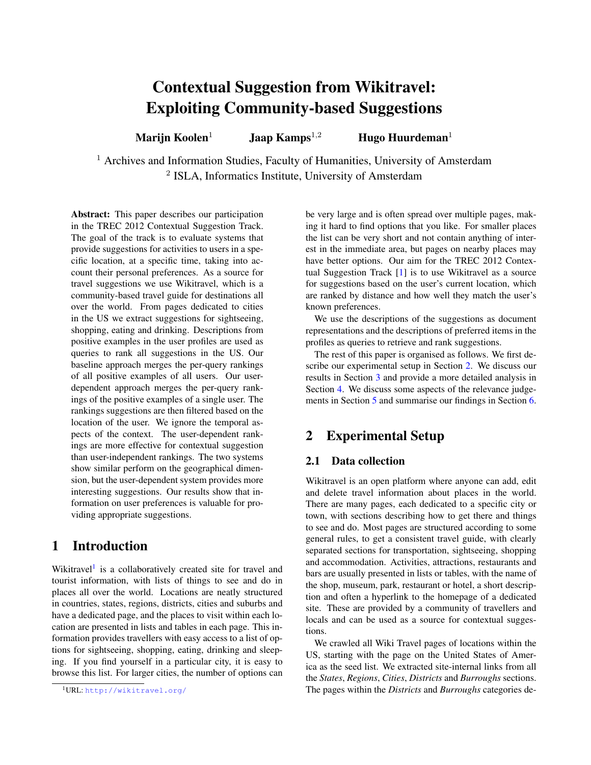# Contextual Suggestion from Wikitravel: Exploiting Community-based Suggestions

Marijn Koolen<sup>1</sup> Jaap Kamps<sup>1,2</sup> Hugo Huurdeman<sup>1</sup>

<sup>1</sup> Archives and Information Studies, Faculty of Humanities, University of Amsterdam <sup>2</sup> ISLA, Informatics Institute, University of Amsterdam

Abstract: This paper describes our participation in the TREC 2012 Contextual Suggestion Track. The goal of the track is to evaluate systems that provide suggestions for activities to users in a specific location, at a specific time, taking into account their personal preferences. As a source for travel suggestions we use Wikitravel, which is a community-based travel guide for destinations all over the world. From pages dedicated to cities in the US we extract suggestions for sightseeing, shopping, eating and drinking. Descriptions from positive examples in the user profiles are used as queries to rank all suggestions in the US. Our baseline approach merges the per-query rankings of all positive examples of all users. Our userdependent approach merges the per-query rankings of the positive examples of a single user. The rankings suggestions are then filtered based on the location of the user. We ignore the temporal aspects of the context. The user-dependent rankings are more effective for contextual suggestion than user-independent rankings. The two systems show similar perform on the geographical dimension, but the user-dependent system provides more interesting suggestions. Our results show that information on user preferences is valuable for providing appropriate suggestions.

## 1 Introduction

Wikitravel<sup>[1](#page-0-0)</sup> is a collaboratively created site for travel and tourist information, with lists of things to see and do in places all over the world. Locations are neatly structured in countries, states, regions, districts, cities and suburbs and have a dedicated page, and the places to visit within each location are presented in lists and tables in each page. This information provides travellers with easy access to a list of options for sightseeing, shopping, eating, drinking and sleeping. If you find yourself in a particular city, it is easy to browse this list. For larger cities, the number of options can

be very large and is often spread over multiple pages, making it hard to find options that you like. For smaller places the list can be very short and not contain anything of interest in the immediate area, but pages on nearby places may have better options. Our aim for the TREC 2012 Contextual Suggestion Track [\[1\]](#page-5-0) is to use Wikitravel as a source for suggestions based on the user's current location, which are ranked by distance and how well they match the user's known preferences.

We use the descriptions of the suggestions as document representations and the descriptions of preferred items in the profiles as queries to retrieve and rank suggestions.

The rest of this paper is organised as follows. We first describe our experimental setup in Section [2.](#page-0-1) We discuss our results in Section [3](#page-1-0) and provide a more detailed analysis in Section [4.](#page-2-0) We discuss some aspects of the relevance judgements in Section [5](#page-4-0) and summarise our findings in Section [6.](#page-4-1)

## <span id="page-0-1"></span>2 Experimental Setup

#### 2.1 Data collection

Wikitravel is an open platform where anyone can add, edit and delete travel information about places in the world. There are many pages, each dedicated to a specific city or town, with sections describing how to get there and things to see and do. Most pages are structured according to some general rules, to get a consistent travel guide, with clearly separated sections for transportation, sightseeing, shopping and accommodation. Activities, attractions, restaurants and bars are usually presented in lists or tables, with the name of the shop, museum, park, restaurant or hotel, a short description and often a hyperlink to the homepage of a dedicated site. These are provided by a community of travellers and locals and can be used as a source for contextual suggestions.

We crawled all Wiki Travel pages of locations within the US, starting with the page on the United States of America as the seed list. We extracted site-internal links from all the *States*, *Regions*, *Cities*, *Districts* and *Burroughs* sections. The pages within the *Districts* and *Burroughs* categories de-

<span id="page-0-0"></span><sup>1</sup>URL: <http://wikitravel.org/>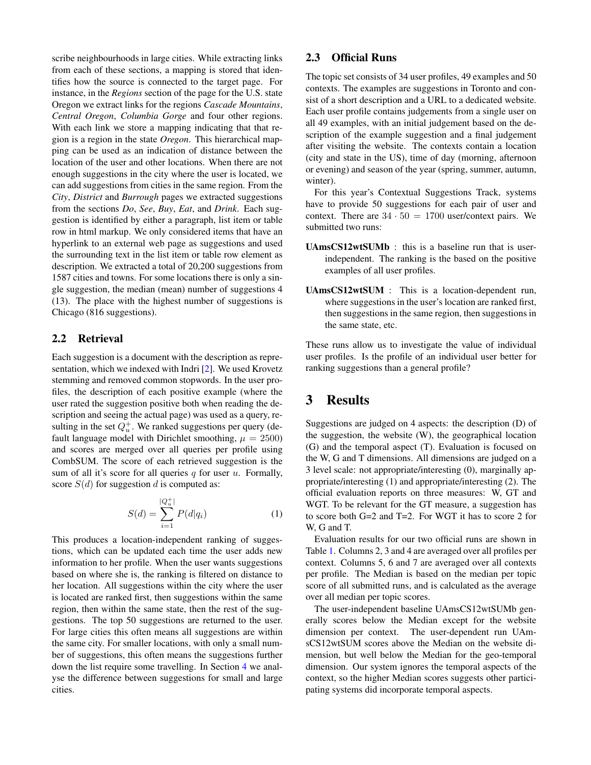scribe neighbourhoods in large cities. While extracting links from each of these sections, a mapping is stored that identifies how the source is connected to the target page. For instance, in the *Regions* section of the page for the U.S. state Oregon we extract links for the regions *Cascade Mountains*, *Central Oregon*, *Columbia Gorge* and four other regions. With each link we store a mapping indicating that that region is a region in the state *Oregon*. This hierarchical mapping can be used as an indication of distance between the location of the user and other locations. When there are not enough suggestions in the city where the user is located, we can add suggestions from cities in the same region. From the *City*, *District* and *Burrough* pages we extracted suggestions from the sections *Do*, *See*, *Buy*, *Eat*, and *Drink*. Each suggestion is identified by either a paragraph, list item or table row in html markup. We only considered items that have an hyperlink to an external web page as suggestions and used the surrounding text in the list item or table row element as description. We extracted a total of 20,200 suggestions from 1587 cities and towns. For some locations there is only a single suggestion, the median (mean) number of suggestions 4 (13). The place with the highest number of suggestions is Chicago (816 suggestions).

#### 2.2 Retrieval

Each suggestion is a document with the description as representation, which we indexed with Indri [\[2\]](#page-5-1). We used Krovetz stemming and removed common stopwords. In the user profiles, the description of each positive example (where the user rated the suggestion positive both when reading the description and seeing the actual page) was used as a query, resulting in the set  $Q_u^+$ . We ranked suggestions per query (default language model with Dirichlet smoothing,  $\mu = 2500$ ) and scores are merged over all queries per profile using CombSUM. The score of each retrieved suggestion is the sum of all it's score for all queries  $q$  for user  $u$ . Formally, score  $S(d)$  for suggestion d is computed as:

$$
S(d) = \sum_{i=1}^{|Q_u^{+}|} P(d|q_i)
$$
 (1)

This produces a location-independent ranking of suggestions, which can be updated each time the user adds new information to her profile. When the user wants suggestions based on where she is, the ranking is filtered on distance to her location. All suggestions within the city where the user is located are ranked first, then suggestions within the same region, then within the same state, then the rest of the suggestions. The top 50 suggestions are returned to the user. For large cities this often means all suggestions are within the same city. For smaller locations, with only a small number of suggestions, this often means the suggestions further down the list require some travelling. In Section [4](#page-2-0) we analyse the difference between suggestions for small and large cities.

#### 2.3 Official Runs

The topic set consists of 34 user profiles, 49 examples and 50 contexts. The examples are suggestions in Toronto and consist of a short description and a URL to a dedicated website. Each user profile contains judgements from a single user on all 49 examples, with an initial judgement based on the description of the example suggestion and a final judgement after visiting the website. The contexts contain a location (city and state in the US), time of day (morning, afternoon or evening) and season of the year (spring, summer, autumn, winter).

For this year's Contextual Suggestions Track, systems have to provide 50 suggestions for each pair of user and context. There are  $34 \cdot 50 = 1700$  user/context pairs. We submitted two runs:

- UAmsCS12wtSUMb : this is a baseline run that is userindependent. The ranking is the based on the positive examples of all user profiles.
- UAmsCS12wtSUM : This is a location-dependent run, where suggestions in the user's location are ranked first, then suggestions in the same region, then suggestions in the same state, etc.

These runs allow us to investigate the value of individual user profiles. Is the profile of an individual user better for ranking suggestions than a general profile?

## <span id="page-1-0"></span>3 Results

Suggestions are judged on 4 aspects: the description (D) of the suggestion, the website (W), the geographical location (G) and the temporal aspect (T). Evaluation is focused on the W, G and T dimensions. All dimensions are judged on a 3 level scale: not appropriate/interesting (0), marginally appropriate/interesting (1) and appropriate/interesting (2). The official evaluation reports on three measures: W, GT and WGT. To be relevant for the GT measure, a suggestion has to score both G=2 and T=2. For WGT it has to score 2 for W, G and T.

Evaluation results for our two official runs are shown in Table [1.](#page-2-1) Columns 2, 3 and 4 are averaged over all profiles per context. Columns 5, 6 and 7 are averaged over all contexts per profile. The Median is based on the median per topic score of all submitted runs, and is calculated as the average over all median per topic scores.

The user-independent baseline UAmsCS12wtSUMb generally scores below the Median except for the website dimension per context. The user-dependent run UAmsCS12wtSUM scores above the Median on the website dimension, but well below the Median for the geo-temporal dimension. Our system ignores the temporal aspects of the context, so the higher Median scores suggests other participating systems did incorporate temporal aspects.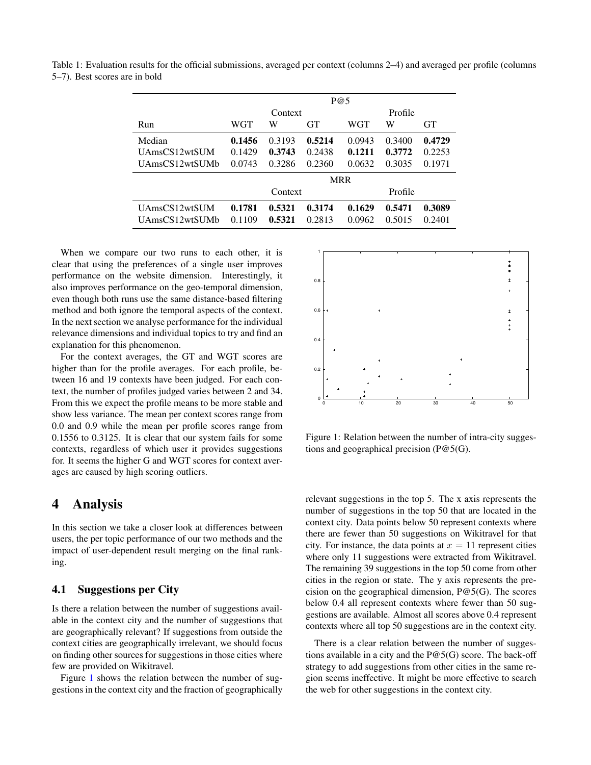P@5 Context Profile Run WGT W GT WGT W GT Median **0.1456** 0.3193 **0.5214** 0.0943 0.3400 **0.4729** UAmsCS12wtSUM 0.1429 0.3743 0.2438 0.1211 0.3772 0.2253 UAmsCS12wtSUMb 0.0743 0.3286 0.2360 0.0632 0.3035 0.1971 MRR Context Profile UAmsCS12wtSUM 0.1781 0.5321 0.3174 0.1629 0.5471 0.3089 UAmsCS12wtSUMb 0.1109 0.5321 0.2813 0.0962 0.5015 0.2401

<span id="page-2-1"></span>Table 1: Evaluation results for the official submissions, averaged per context (columns 2–4) and averaged per profile (columns 5–7). Best scores are in bold

When we compare our two runs to each other, it is clear that using the preferences of a single user improves performance on the website dimension. Interestingly, it also improves performance on the geo-temporal dimension, even though both runs use the same distance-based filtering method and both ignore the temporal aspects of the context. In the next section we analyse performance for the individual relevance dimensions and individual topics to try and find an explanation for this phenomenon.

For the context averages, the GT and WGT scores are higher than for the profile averages. For each profile, between 16 and 19 contexts have been judged. For each context, the number of profiles judged varies between 2 and 34. From this we expect the profile means to be more stable and show less variance. The mean per context scores range from 0.0 and 0.9 while the mean per profile scores range from 0.1556 to 0.3125. It is clear that our system fails for some contexts, regardless of which user it provides suggestions for. It seems the higher G and WGT scores for context averages are caused by high scoring outliers.

## <span id="page-2-0"></span>4 Analysis

In this section we take a closer look at differences between users, the per topic performance of our two methods and the impact of user-dependent result merging on the final ranking.

#### 4.1 Suggestions per City

Is there a relation between the number of suggestions available in the context city and the number of suggestions that are geographically relevant? If suggestions from outside the context cities are geographically irrelevant, we should focus on finding other sources for suggestions in those cities where few are provided on Wikitravel.

Figure [1](#page-2-2) shows the relation between the number of suggestions in the context city and the fraction of geographically



<span id="page-2-2"></span>Figure 1: Relation between the number of intra-city suggestions and geographical precision (P@5(G).

relevant suggestions in the top 5. The x axis represents the number of suggestions in the top 50 that are located in the context city. Data points below 50 represent contexts where there are fewer than 50 suggestions on Wikitravel for that city. For instance, the data points at  $x = 11$  represent cities where only 11 suggestions were extracted from Wikitravel. The remaining 39 suggestions in the top 50 come from other cities in the region or state. The y axis represents the precision on the geographical dimension,  $P@5(G)$ . The scores below 0.4 all represent contexts where fewer than 50 suggestions are available. Almost all scores above 0.4 represent contexts where all top 50 suggestions are in the context city.

There is a clear relation between the number of suggestions available in a city and the  $P@5(G)$  score. The back-off strategy to add suggestions from other cities in the same region seems ineffective. It might be more effective to search the web for other suggestions in the context city.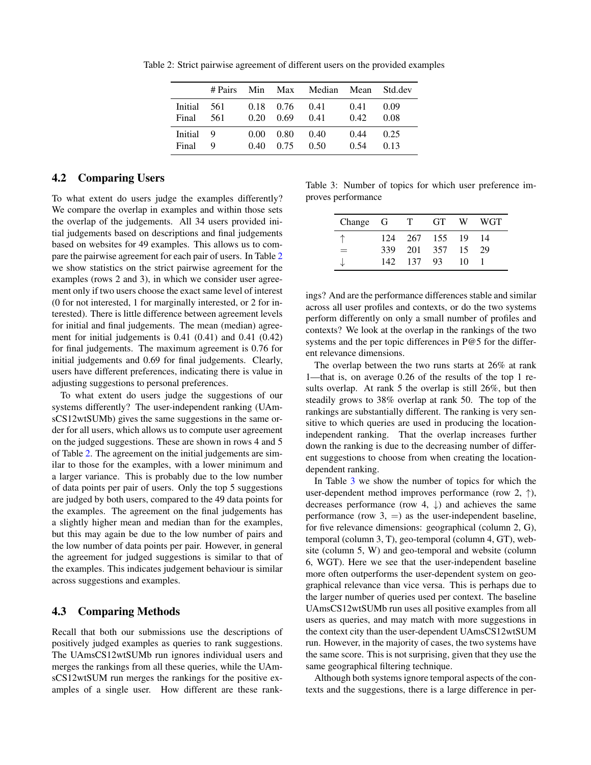<span id="page-3-0"></span>

|                    |            |                                     | # Pairs Min Max Median Mean |               | Std dev      |
|--------------------|------------|-------------------------------------|-----------------------------|---------------|--------------|
| Initial<br>Final   | 561<br>561 | 0.18 0.76 0.41<br>$0.20 \quad 0.69$ | 0.41                        | 0.41<br>0.42  | 0.09<br>0.08 |
| Initial 9<br>Final | -9         | $0.00 \quad 0.80$<br>0.40 0.75      | 0.40<br>0.50                | 0.44<br>(154) | 0.25<br>0.13 |

Table 2: Strict pairwise agreement of different users on the provided examples

#### 4.2 Comparing Users

To what extent do users judge the examples differently? We compare the overlap in examples and within those sets the overlap of the judgements. All 34 users provided initial judgements based on descriptions and final judgements based on websites for 49 examples. This allows us to compare the pairwise agreement for each pair of users. In Table [2](#page-3-0) we show statistics on the strict pairwise agreement for the examples (rows 2 and 3), in which we consider user agreement only if two users choose the exact same level of interest (0 for not interested, 1 for marginally interested, or 2 for interested). There is little difference between agreement levels for initial and final judgements. The mean (median) agreement for initial judgements is 0.41 (0.41) and 0.41 (0.42) for final judgements. The maximum agreement is 0.76 for initial judgements and 0.69 for final judgements. Clearly, users have different preferences, indicating there is value in adjusting suggestions to personal preferences.

To what extent do users judge the suggestions of our systems differently? The user-independent ranking (UAmsCS12wtSUMb) gives the same suggestions in the same order for all users, which allows us to compute user agreement on the judged suggestions. These are shown in rows 4 and 5 of Table [2.](#page-3-0) The agreement on the initial judgements are similar to those for the examples, with a lower minimum and a larger variance. This is probably due to the low number of data points per pair of users. Only the top 5 suggestions are judged by both users, compared to the 49 data points for the examples. The agreement on the final judgements has a slightly higher mean and median than for the examples, but this may again be due to the low number of pairs and the low number of data points per pair. However, in general the agreement for judged suggestions is similar to that of the examples. This indicates judgement behaviour is similar across suggestions and examples.

#### 4.3 Comparing Methods

Recall that both our submissions use the descriptions of positively judged examples as queries to rank suggestions. The UAmsCS12wtSUMb run ignores individual users and merges the rankings from all these queries, while the UAmsCS12wtSUM run merges the rankings for the positive examples of a single user. How different are these rank-

Table 3: Number of topics for which user preference improves performance

<span id="page-3-1"></span>

| Change G |      | T   | GT.        | W   | WGT |
|----------|------|-----|------------|-----|-----|
|          | 124  |     | 267 155 19 |     | 14  |
| $=$      | 339  | 201 | 357        | -15 | 29  |
|          | 142. | 137 | -93        | 10  |     |

ings? And are the performance differences stable and similar across all user profiles and contexts, or do the two systems perform differently on only a small number of profiles and contexts? We look at the overlap in the rankings of the two systems and the per topic differences in P@5 for the different relevance dimensions.

The overlap between the two runs starts at 26% at rank 1—that is, on average 0.26 of the results of the top 1 results overlap. At rank 5 the overlap is still 26%, but then steadily grows to 38% overlap at rank 50. The top of the rankings are substantially different. The ranking is very sensitive to which queries are used in producing the locationindependent ranking. That the overlap increases further down the ranking is due to the decreasing number of different suggestions to choose from when creating the locationdependent ranking.

In Table [3](#page-3-1) we show the number of topics for which the user-dependent method improves performance (row 2, ↑), decreases performance (row 4,  $\downarrow$ ) and achieves the same performance (row  $3$ , =) as the user-independent baseline, for five relevance dimensions: geographical (column 2, G), temporal (column 3, T), geo-temporal (column 4, GT), website (column 5, W) and geo-temporal and website (column 6, WGT). Here we see that the user-independent baseline more often outperforms the user-dependent system on geographical relevance than vice versa. This is perhaps due to the larger number of queries used per context. The baseline UAmsCS12wtSUMb run uses all positive examples from all users as queries, and may match with more suggestions in the context city than the user-dependent UAmsCS12wtSUM run. However, in the majority of cases, the two systems have the same score. This is not surprising, given that they use the same geographical filtering technique.

Although both systems ignore temporal aspects of the contexts and the suggestions, there is a large difference in per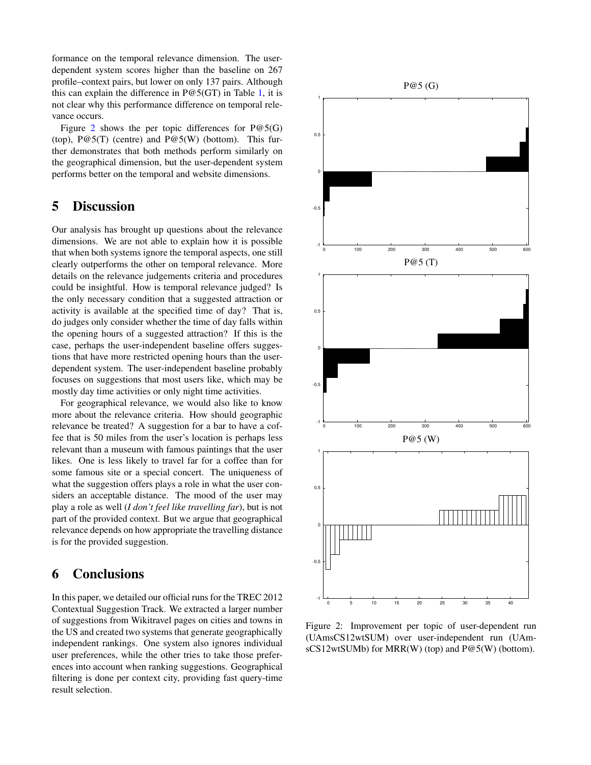formance on the temporal relevance dimension. The userdependent system scores higher than the baseline on 267 profile–context pairs, but lower on only 137 pairs. Although this can explain the difference in  $P@5(GT)$  in Table [1,](#page-2-1) it is not clear why this performance difference on temporal relevance occurs.

Figure [2](#page-4-2) shows the per topic differences for  $P@5(G)$ (top),  $P@5(T)$  (centre) and  $P@5(W)$  (bottom). This further demonstrates that both methods perform similarly on the geographical dimension, but the user-dependent system performs better on the temporal and website dimensions.

## <span id="page-4-0"></span>5 Discussion

Our analysis has brought up questions about the relevance dimensions. We are not able to explain how it is possible that when both systems ignore the temporal aspects, one still clearly outperforms the other on temporal relevance. More details on the relevance judgements criteria and procedures could be insightful. How is temporal relevance judged? Is the only necessary condition that a suggested attraction or activity is available at the specified time of day? That is, do judges only consider whether the time of day falls within the opening hours of a suggested attraction? If this is the case, perhaps the user-independent baseline offers suggestions that have more restricted opening hours than the userdependent system. The user-independent baseline probably focuses on suggestions that most users like, which may be mostly day time activities or only night time activities.

For geographical relevance, we would also like to know more about the relevance criteria. How should geographic relevance be treated? A suggestion for a bar to have a coffee that is 50 miles from the user's location is perhaps less relevant than a museum with famous paintings that the user likes. One is less likely to travel far for a coffee than for some famous site or a special concert. The uniqueness of what the suggestion offers plays a role in what the user considers an acceptable distance. The mood of the user may play a role as well (*I don't feel like travelling far*), but is not part of the provided context. But we argue that geographical relevance depends on how appropriate the travelling distance is for the provided suggestion.

### <span id="page-4-1"></span>6 Conclusions

In this paper, we detailed our official runs for the TREC 2012 Contextual Suggestion Track. We extracted a larger number of suggestions from Wikitravel pages on cities and towns in the US and created two systems that generate geographically independent rankings. One system also ignores individual user preferences, while the other tries to take those preferences into account when ranking suggestions. Geographical filtering is done per context city, providing fast query-time result selection.



<span id="page-4-2"></span>Figure 2: Improvement per topic of user-dependent run (UAmsCS12wtSUM) over user-independent run (UAmsCS12wtSUMb) for MRR(W) (top) and P@5(W) (bottom).